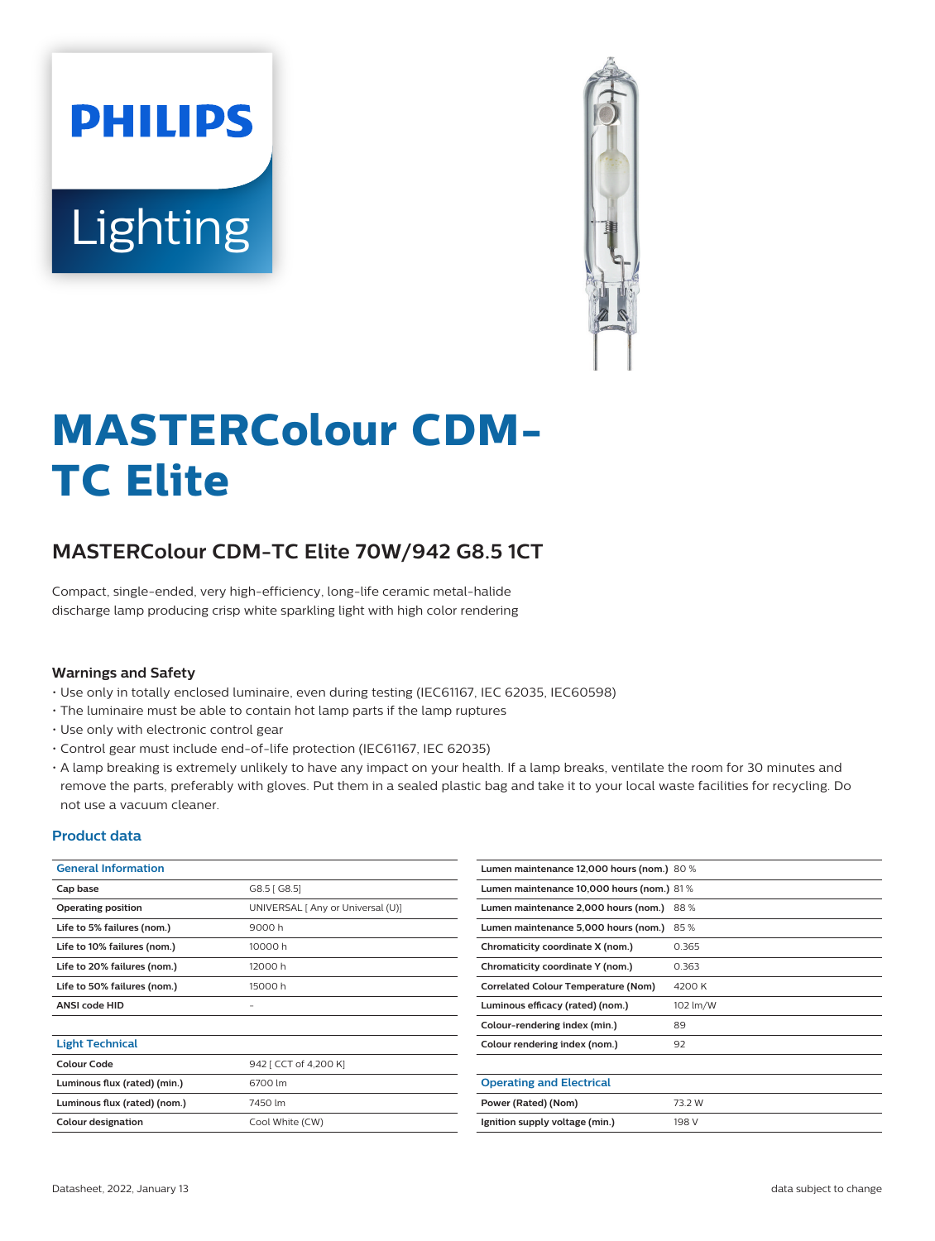# **PHILIPS** Lighting



# **MASTERColour CDM-TC Elite**

# **MASTERColour CDM-TC Elite 70W/942 G8.5 1CT**

Compact, single-ended, very high-efficiency, long-life ceramic metal-halide discharge lamp producing crisp white sparkling light with high color rendering

#### **Warnings and Safety**

- Use only in totally enclosed luminaire, even during testing (IEC61167, IEC 62035, IEC60598)
- The luminaire must be able to contain hot lamp parts if the lamp ruptures
- Use only with electronic control gear
- Control gear must include end-of-life protection (IEC61167, IEC 62035)
- A lamp breaking is extremely unlikely to have any impact on your health. If a lamp breaks, ventilate the room for 30 minutes and remove the parts, preferably with gloves. Put them in a sealed plastic bag and take it to your local waste facilities for recycling. Do not use a vacuum cleaner.

#### **Product data**

| <b>General Information</b>   |                                   | Lumen maintenance 12,000 hours (nom.) 80 % |          |  |  |
|------------------------------|-----------------------------------|--------------------------------------------|----------|--|--|
| Cap base                     | G8.5 [G8.5]                       | Lumen maintenance 10,000 hours (nom.) 81%  |          |  |  |
| <b>Operating position</b>    | UNIVERSAL [ Any or Universal (U)] | Lumen maintenance 2,000 hours (nom.) 88 %  |          |  |  |
| Life to 5% failures (nom.)   | 9000h                             | Lumen maintenance 5,000 hours (nom.) 85 %  |          |  |  |
| Life to 10% failures (nom.)  | 10000h                            | Chromaticity coordinate X (nom.)           | 0.365    |  |  |
| Life to 20% failures (nom.)  | 12000 h                           | Chromaticity coordinate Y (nom.)           | 0.363    |  |  |
| Life to 50% failures (nom.)  | 15000h                            | <b>Correlated Colour Temperature (Nom)</b> | 4200 K   |  |  |
| <b>ANSI code HID</b>         | -                                 | Luminous efficacy (rated) (nom.)           | 102 lm/W |  |  |
|                              |                                   | Colour-rendering index (min.)              | 89       |  |  |
| <b>Light Technical</b>       |                                   | Colour rendering index (nom.)              | 92       |  |  |
| <b>Colour Code</b>           | 942 [ CCT of 4,200 K]             |                                            |          |  |  |
| Luminous flux (rated) (min.) | 6700 lm                           | <b>Operating and Electrical</b>            |          |  |  |
| Luminous flux (rated) (nom.) | 7450 lm                           | Power (Rated) (Nom)                        | 73.2 W   |  |  |
| Colour designation           | Cool White (CW)                   | Ignition supply voltage (min.)             | 198 V    |  |  |
|                              |                                   |                                            |          |  |  |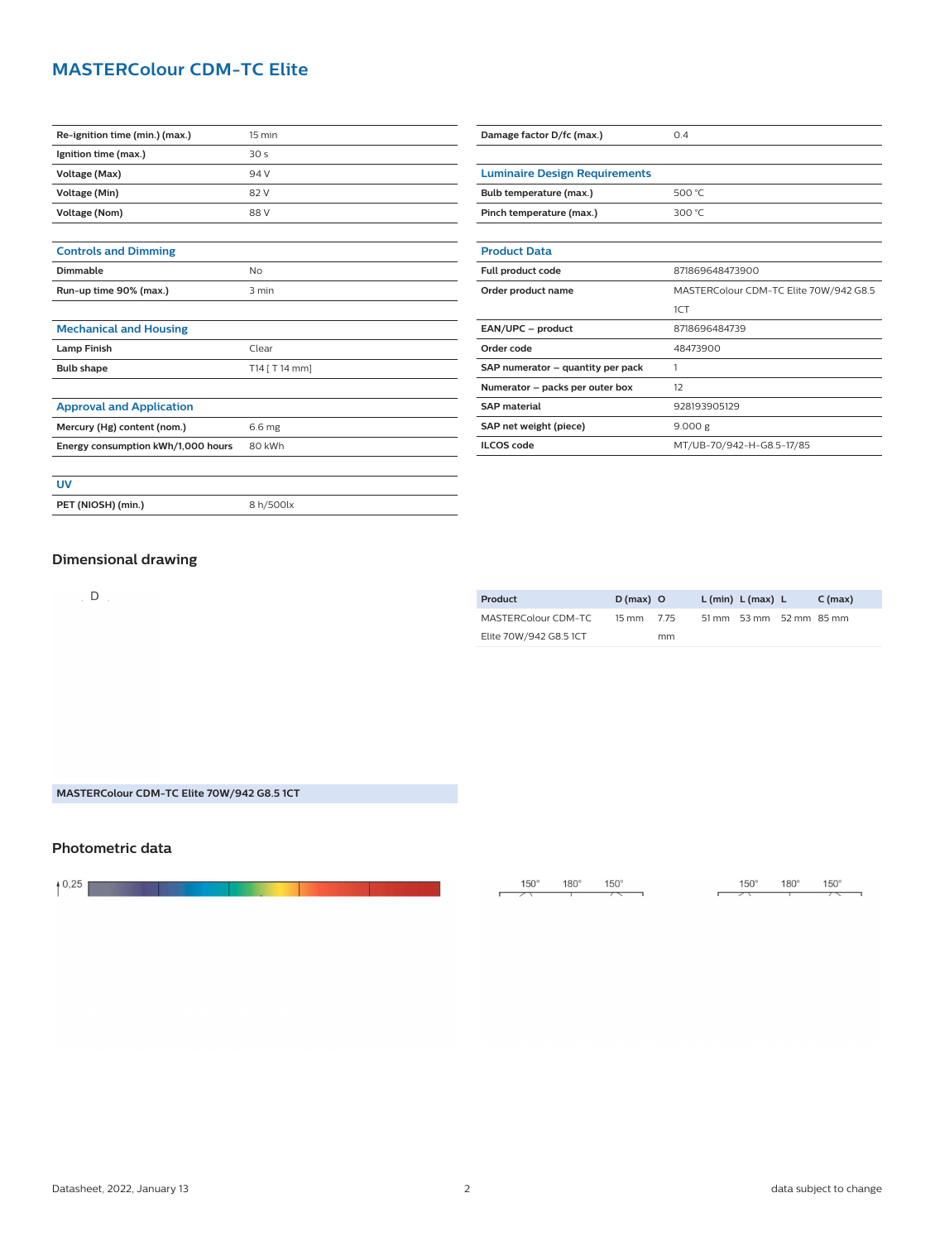# **MASTERColour CDM-TC Elite**

| Re-ignition time (min.) (max.)     | 15 min          | Damage factor D/fc (max.)<br>0.4     |                                        |  |
|------------------------------------|-----------------|--------------------------------------|----------------------------------------|--|
| Ignition time (max.)               | 30 <sub>s</sub> |                                      |                                        |  |
| Voltage (Max)                      | 94 V            | <b>Luminaire Design Requirements</b> |                                        |  |
| Voltage (Min)                      | 82 V            | Bulb temperature (max.)<br>500 °C    |                                        |  |
| <b>Voltage (Nom)</b>               | 88 V            | Pinch temperature (max.)             | 300 °C                                 |  |
|                                    |                 |                                      |                                        |  |
| <b>Controls and Dimming</b>        |                 | <b>Product Data</b>                  |                                        |  |
| <b>Dimmable</b>                    | <b>No</b>       | Full product code                    | 871869648473900                        |  |
| Run-up time 90% (max.)             | 3 min           | Order product name                   | MASTERColour CDM-TC Elite 70W/942 G8.5 |  |
|                                    |                 |                                      | 1CT                                    |  |
| <b>Mechanical and Housing</b>      |                 | EAN/UPC - product                    | 8718696484739                          |  |
| <b>Lamp Finish</b>                 | Clear           | Order code                           | 48473900                               |  |
| <b>Bulb shape</b>                  | T14 [ T 14 mm]  | SAP numerator - quantity per pack    | $\mathbf{1}$                           |  |
|                                    |                 | Numerator - packs per outer box      | 12                                     |  |
| <b>Approval and Application</b>    |                 | <b>SAP</b> material                  | 928193905129                           |  |
| Mercury (Hg) content (nom.)        | 6.6 mg          | SAP net weight (piece)               | 9.000 g                                |  |
| Energy consumption kWh/1,000 hours | 80 kWh          | <b>ILCOS code</b>                    | MT/UB-70/942-H-G8.5-17/85              |  |
|                                    |                 |                                      |                                        |  |
| <b>UV</b>                          |                 |                                      |                                        |  |
| PET (NIOSH) (min.)                 | 8 h/500lx       |                                      |                                        |  |
|                                    |                 |                                      |                                        |  |

### **Dimensional drawing**

 $D$ 

| Product                | $D(max)$ O      |      | L (min) L (max) L       | $C$ (max) |
|------------------------|-----------------|------|-------------------------|-----------|
| MASTERColour CDM-TC    | $15 \text{ mm}$ | 7.75 | 51 mm 53 mm 52 mm 85 mm |           |
| Elite 70W/942 G8.5 1CT |                 | mm   |                         |           |

#### **MASTERColour CDM-TC Elite 70W/942 G8.5 1CT**

## **Photometric data**

<u> The Communication of the Communication of</u> and the company

 $150^\circ$  $180^\circ$  $150^\circ$  $\overline{\phantom{0}}$ 

 $\mathbf{r}$ 

 $150^\circ$  $180^\circ$  $150^\circ$ 

 $\overline{r}$ 

 $\mathcal{L}_{\text{max}}$